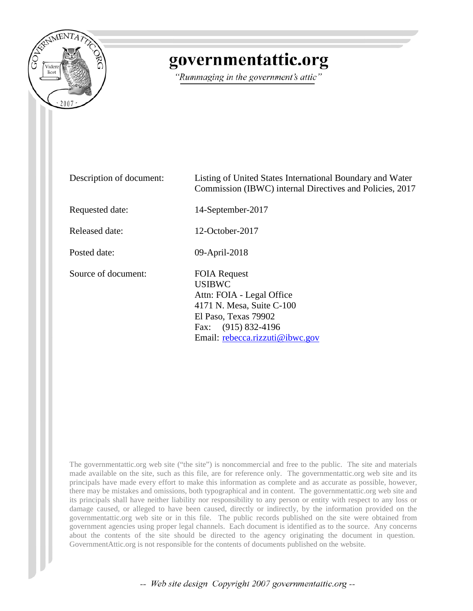

## governmentattic.org

"Rummaging in the government's attic"

| Description of document: | Listing of United States International Boundary and Water<br>Commission (IBWC) internal Directives and Policies, 2017                                                            |
|--------------------------|----------------------------------------------------------------------------------------------------------------------------------------------------------------------------------|
| Requested date:          | 14-September-2017                                                                                                                                                                |
| <b>Released date:</b>    | 12-October-2017                                                                                                                                                                  |
| Posted date:             | 09-April-2018                                                                                                                                                                    |
| Source of document:      | <b>FOIA Request</b><br><b>USIBWC</b><br>Attn: FOIA - Legal Office<br>4171 N. Mesa, Suite C-100<br>El Paso, Texas 79902<br>Fax: (915) 832-4196<br>Email: rebecca.rizzuti@ibwc.gov |

The governmentattic.org web site ("the site") is noncommercial and free to the public. The site and materials made available on the site, such as this file, are for reference only. The governmentattic.org web site and its principals have made every effort to make this information as complete and as accurate as possible, however, there may be mistakes and omissions, both typographical and in content. The governmentattic.org web site and its principals shall have neither liability nor responsibility to any person or entity with respect to any loss or damage caused, or alleged to have been caused, directly or indirectly, by the information provided on the governmentattic.org web site or in this file. The public records published on the site were obtained from government agencies using proper legal channels. Each document is identified as to the source. Any concerns about the contents of the site should be directed to the agency originating the document in question. GovernmentAttic.org is not responsible for the contents of documents published on the website.

-- Web site design Copyright 2007 governmentattic.org --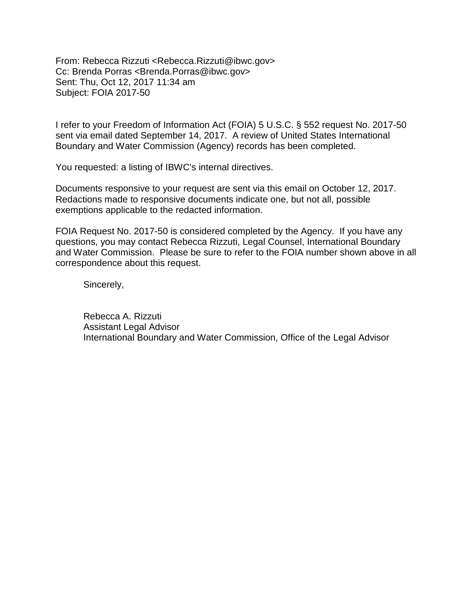From: Rebecca Rizzuti <Rebecca.Rizzuti@ibwc.gov> Cc: Brenda Porras <Brenda.Porras@ibwc.gov> Sent: Thu, Oct 12, 2017 11:34 am Subject: FOIA 2017-50

I refer to your Freedom of Information Act (FOIA) 5 U.S.C. § 552 request No. 2017-50 sent via email dated September 14, 2017. A review of United States International Boundary and Water Commission (Agency) records has been completed.

You requested: a listing of IBWC's internal directives.

Documents responsive to your request are sent via this email on October 12, 2017. Redactions made to responsive documents indicate one, but not all, possible exemptions applicable to the redacted information.

FOIA Request No. 2017-50 is considered completed by the Agency. If you have any questions, you may contact Rebecca Rizzuti, Legal Counsel, International Boundary and Water Commission. Please be sure to refer to the FOIA number shown above in all correspondence about this request.

Sincerely,

Rebecca A. Rizzuti Assistant Legal Advisor International Boundary and Water Commission, Office of the Legal Advisor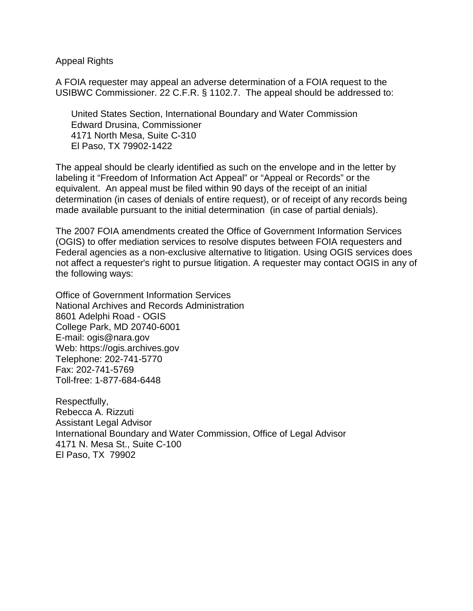Appeal Rights

A FOIA requester may appeal an adverse determination of a FOIA request to the USIBWC Commissioner. 22 C.F.R. § 1102.7. The appeal should be addressed to:

 United States Section, International Boundary and Water Commission Edward Drusina, Commissioner 4171 North Mesa, Suite C-310 El Paso, TX 79902-1422

The appeal should be clearly identified as such on the envelope and in the letter by labeling it "Freedom of Information Act Appeal" or "Appeal or Records" or the equivalent. An appeal must be filed within 90 days of the receipt of an initial determination (in cases of denials of entire request), or of receipt of any records being made available pursuant to the initial determination (in case of partial denials).

The 2007 FOIA amendments created the Office of Government Information Services (OGIS) to offer mediation services to resolve disputes between FOIA requesters and Federal agencies as a non-exclusive alternative to litigation. Using OGIS services does not affect a requester's right to pursue litigation. A requester may contact OGIS in any of the following ways:

Office of Government Information Services National Archives and Records Administration 8601 Adelphi Road - OGIS College Park, MD 20740-6001 E-mail: ogis@nara.gov Web: https://ogis.archives.gov Telephone: 202-741-5770 Fax: 202-741-5769 Toll-free: 1-877-684-6448

Respectfully, Rebecca A. Rizzuti Assistant Legal Advisor International Boundary and Water Commission, Office of Legal Advisor 4171 N. Mesa St., Suite C-100 El Paso, TX 79902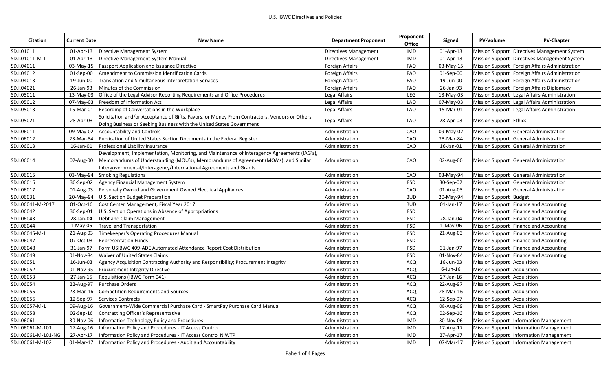| <b>Citation</b>     | <b>Current Date</b> | <b>New Name</b>                                                                               | <b>Department Proponent</b> | Proponent<br><b>Office</b> | Signed       | <b>PV-Volume</b>                   | <b>PV-Chapter</b>                                |
|---------------------|---------------------|-----------------------------------------------------------------------------------------------|-----------------------------|----------------------------|--------------|------------------------------------|--------------------------------------------------|
| SD.I.01011          | $01$ -Apr-13        | Directive Management System                                                                   | Directives Management       | IMD                        | $01$ -Apr-13 |                                    | Mission Support Directives Management System     |
| SD.I.01011-M-1      | 01-Apr-13           | Directive Management System Manual                                                            | Directives Management       | IMD                        | 01-Apr-13    |                                    | Mission Support Directives Management System     |
| SD.I.04011          | 03-May-15           | Passport Application and Issuance Directive                                                   | Foreign Affairs             | FAO                        | 03-May-15    |                                    | Mission Support   Foreign Affairs Administration |
| SD.I.04012          | $01$ -Sep- $00$     | Amendment to Commission Identification Cards                                                  | Foreign Affairs             | FAO                        | 01-Sep-00    |                                    | Mission Support Foreign Affairs Administration   |
| SD.I.04013          | 19-Jun-00           | Translation and Simultaneous Interpretation Services                                          | Foreign Affairs             | <b>FAO</b>                 | 19-Jun-00    |                                    | Mission Support   Foreign Affairs Administration |
| SD.I.04021          | 26-Jan-93           | Minutes of the Commission                                                                     | Foreign Affairs             | FAO                        | 26-Jan-93    |                                    | Mission Support Foreign Affairs Diplomacy        |
| SD.I.05011          | 13-May-03           | Office of the Legal Advisor Reporting Requirements and Office Procedures                      | Legal Affairs               | LEG                        | 13-May-03    |                                    | Mission Support Legal Affairs Administration     |
| SD.I.05012          | 07-May-03           | Freedom of Information Act                                                                    | Legal Affairs               | <b>LAO</b>                 | 07-May-03    |                                    | Mission Support Legal Affairs Administration     |
| SD.I.05013          | 15-Mar-01           | Recording of Conversations in the Workplace                                                   | Legal Affairs               | LAO                        | 15-Mar-01    |                                    | Mission Support Legal Affairs Administration     |
|                     |                     | Solicitation and/or Acceptance of Gifts, Favors, or Money From Contractors, Vendors or Others |                             |                            |              | <b>Mission Support Ethics</b>      |                                                  |
| SD.I.05021          | 28-Apr-03           | Doing Business or Seeking Business with the United States Government                          | Legal Affairs               | LAO                        | 28-Apr-03    |                                    |                                                  |
| SD.I.06011          | 09-May-02           | <b>Accountability and Controls</b>                                                            | Administration              | CAO                        | 09-May-02    |                                    | Mission Support General Administration           |
| SD.I.06012          | 23-Mar-84           | Publication of United States Section Documents in the Federal Register                        | Administration              | CAO                        | 23-Mar-84    |                                    | Mission Support General Administration           |
| SD.I.06013          | 16-Jan-01           | Professional Liability Insurance                                                              | Administration              | CAO                        | 16-Jan-01    |                                    | Mission Support General Administration           |
|                     |                     | Development, Implementation, Monitoring, and Maintenance of Interagency Agreements (IAG's),   |                             |                            |              |                                    |                                                  |
| SD.I.06014          | 02-Aug-00           | Memorandums of Understanding (MOU's), Memorandums of Agreement (MOA's), and Similar           | Administration              | CAO                        | 02-Aug-00    |                                    | Mission Support General Administration           |
|                     |                     | Intergovernmental/Interagency/International Agreements and Grants                             |                             |                            |              |                                    |                                                  |
| SD.I.06015          | 03-May-94           | <b>Smoking Regulations</b>                                                                    | Administration              | CAO                        | 03-May-94    |                                    | Mission Support General Administration           |
| SD.I.06016          | 30-Sep-02           | Agency Financial Management System                                                            | Administration              | <b>FSD</b>                 | 30-Sep-02    |                                    | Mission Support General Administration           |
| SD.I.06017          | 01-Aug-03           | Personally Owned and Government Owned Electrical Appliances                                   | Administration              | CAO                        | 01-Aug-03    |                                    | Mission Support General Administration           |
| SD.I.06031          | 20-May-94           | U.S. Section Budget Preparation                                                               | Administration              | <b>BUD</b>                 | 20-May-94    | Mission Support Budget             |                                                  |
| SD.I.06041-M-2017   | 01-Oct-16           | Cost Center Management, Fiscal Year 2017                                                      | Administration              | <b>BUD</b>                 | 01-Jan-17    |                                    | Mission Support Finance and Accounting           |
| SD.I.06042          | 30-Sep-01           | U.S. Section Operations in Absence of Appropriations                                          | Administration              | <b>FSD</b>                 |              |                                    | Mission Support Finance and Accounting           |
| SD.I.06043          | 28-Jan-04           | Debt and Claim Management                                                                     | Administration              | <b>FSD</b>                 | 28-Jan-04    |                                    | Mission Support Finance and Accounting           |
| SD.I.06044          | 1-May-06            | <b>Travel and Transportation</b>                                                              | Administration              | <b>FSD</b>                 | 1-May-06     |                                    | Mission Support Finance and Accounting           |
| SD.I.06045-M-1      | 21-Aug-03           | Timekeeper's Operating Procedures Manual                                                      | Administration              | FSD                        | 21-Aug-03    |                                    | Mission Support Finance and Accounting           |
| SD.I.06047          | 07-Oct-03           | <b>Representation Funds</b>                                                                   | Administration              | <b>FSD</b>                 |              |                                    | Mission Support Finance and Accounting           |
| SD.I.06048          | 31-Jan-97           | Form USIBWC 409-ADE Automated Attendance Report Cost Distribution                             | Administration              | <b>FSD</b>                 | 31-Jan-97    |                                    | Mission Support Finance and Accounting           |
| SD.I.06049          | 01-Nov-84           | <b>Waiver of United States Claims</b>                                                         | Administration              | <b>FSD</b>                 | 01-Nov-84    |                                    | Mission Support Finance and Accounting           |
| SD.I.06051          | 16-Jun-03           | Agency Acquisition Contracting Authority and Responsibility; Procurement Integrity            | Administration              | <b>ACQ</b>                 | 16-Jun-03    | <b>Mission Support Acquisition</b> |                                                  |
| SD.I.06052          | 01-Nov-95           | Procurement Integrity Directive                                                               | Administration              | ACQ                        | $6$ -Jun-16  | Mission Support Acquisition        |                                                  |
| SD.I.06053          | 27-Jan-15           | Requisitions (IBWC Form 041)                                                                  | Administration              | ACQ                        | 27-Jan-16    | Mission Support Acquisition        |                                                  |
| SD.I.06054          | 22-Aug-97           | <b>Purchase Orders</b>                                                                        | Administration              | <b>ACQ</b>                 | 22-Aug-97    | Mission Support Acquisition        |                                                  |
| SD.I.06055          | 28-Mar-16           | Competition Requirements and Sources                                                          | Administration              | ACQ                        | 28-Mar-16    | Mission Support Acquisition        |                                                  |
| SD.I.06056          | 12-Sep-97           | Services Contracts                                                                            | Administration              | ACQ                        | 12-Sep-97    | Mission Support Acquisition        |                                                  |
| SD.I.06057-M-1      | 09-Aug-16           | Government-Wide Commercial Purchase Card - SmartPay Purchase Card Manual                      | Administration              | <b>ACQ</b>                 | 08-Aug-09    | Mission Support Acquisition        |                                                  |
| SD.I.06058          | 02-Sep-16           | Contracting Officer's Representative                                                          | Administration              | ACQ                        | 02-Sep-16    | Mission Support Acquisition        |                                                  |
| SD.I.06061          | 30-Nov-06           | Information Technology Policy and Procedures                                                  | Administration              | IMD                        | 30-Nov-06    |                                    | Mission Support Information Management           |
| SD.I.06061-M-101    | 17-Aug-16           | Information Policy and Procedures - IT Access Control                                         | Administration              | IMD                        | 17-Aug-17    |                                    | Mission Support Information Management           |
| SD.I.06061-M-101-NG | 27-Apr-17           | Information Policy and Procedures - IT Access Control NIWTP                                   | Administration              | <b>IMD</b>                 | 27-Apr-17    |                                    | Mission Support Information Management           |
| SD.I.06061-M-102    | 01-Mar-17           | Information Policy and Procedures - Audit and Accountability                                  | Administration              | <b>IMD</b>                 | 07-Mar-17    |                                    | Mission Support   Information Management         |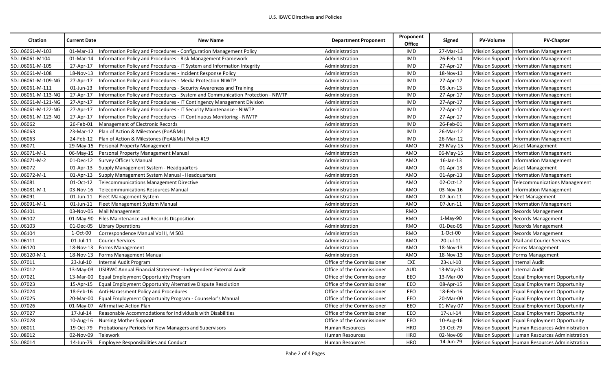| <b>Citation</b>     | <b>Current Date</b> | <b>New Name</b>                                                                 | <b>Department Proponent</b> | Proponent<br><b>Office</b> | Signed          | PV-Volume                      | <b>PV-Chapter</b>                              |
|---------------------|---------------------|---------------------------------------------------------------------------------|-----------------------------|----------------------------|-----------------|--------------------------------|------------------------------------------------|
| SD.I.06061-M-103    | 01-Mar-13           | nformation Policy and Procedures - Configuration Management Policy              | Administration              | <b>IMD</b>                 | 27-Mar-13       |                                | Mission Support Information Management         |
| SD.I.06061-M104     | 01-Mar-14           | Information Policy and Procedures - Risk Management Framework                   | Administration              | <b>IMD</b>                 | 26-Feb-14       |                                | <b>Mission Support Information Management</b>  |
| SD.I.06061-M-105    | 27-Apr-17           | Information Policy and Procedures - IT System and Information Integrity         | Administration              | <b>IMD</b>                 | 27-Apr-17       |                                | Mission Support Information Management         |
| SD.I.06061-M-108    | 18-Nov-13           | Information Policy and Procedures - Incident Response Policy                    | Administration              | <b>IMD</b>                 | 18-Nov-13       |                                | Mission Support Information Management         |
| SD.I.06061-M-109-NG | 27-Apr-17           | Information Policy and Procedures - Media Protection NIWTP                      | Administration              | <b>IMD</b>                 | 27-Apr-17       |                                | Mission Support Information Management         |
| SD.I.06061-M-111    | $01$ -Jun-13        | Information Policy and Procedures - Security Awareness and Training             | Administration              | <b>IMD</b>                 | 05-Jun-13       |                                | Mission Support Information Management         |
| SD.I.06061-M-113-NG | 27-Apr-17           | Information Policy and Procedures - System and Communication Protection - NIWTP | Administration              | <b>IMD</b>                 | 27-Apr-17       |                                | Mission Support Information Management         |
| SD.I.06061-M-121-NG | 27-Apr-17           | Information Policy and Procedures - IT Contingency Management Division          | Administration              | <b>IMD</b>                 | 27-Apr-17       |                                | Mission Support   Information Management       |
| SD.I.06061-M-122-NG | 27-Apr-17           | Information Policy and Procedures - IT Security Maintenance - NIWTP             | Administration              | <b>IMD</b>                 | 27-Apr-17       |                                | Mission Support Information Management         |
| SD.I.06061-M-123-NG | 27-Apr-17           | Information Policy and Procedures - IT Continuous Monitoring - NIWTP            | Administration              | <b>IMD</b>                 | 27-Apr-17       |                                | Mission Support Information Management         |
| SD.I.06062          | 26-Feb-01           | Management of Electronic Records                                                | Administration              | <b>IMD</b>                 | 26-Feb-01       |                                | Mission Support Information Management         |
| SD.I.06063          | 23-Mar-12           | Plan of Action & Milestones (PoA&Ms)                                            | Administration              | <b>IMD</b>                 | 26-Mar-12       |                                | Mission Support Information Management         |
| SD.I.06063          | 24-Feb-12           | Plan of Action & Milestones (PoA&Ms) Policy #19                                 | Administration              | IMD                        | 26-Mar-12       |                                | Mission Support Information Management         |
| SD.I.06071          |                     | 29-May-15 Personal Property Management                                          | Administration              | AMO                        | 29-May-15       |                                | Mission Support Asset Management               |
| SD.I.06071-M-1      | 06-May-15           | Personal Property Management Manual                                             | Administration              | AMO                        | 06-May-15       |                                | Mission Support Information Management         |
| SD.I.06071-M-2      | 01-Dec-12           | Survey Officer's Manual                                                         | Administration              | AMO                        | $16$ -Jan- $13$ |                                | Mission Support Information Management         |
| SD.I.06072          | $01$ -Apr-13        | Supply Management System - Headquarters                                         | Administration              | AMO                        | 01-Apr-13       |                                | Mission Support Asset Management               |
| SD.I.06072-M-1      | $01$ -Apr-13        | Supply Management System Manual - Headquarters                                  | Administration              | AMO                        | 01-Apr-13       |                                | Mission Support Information Management         |
| SD.I.06081          | 01-Oct-12           | <b>Telecommunications Management Directive</b>                                  | Administration              | AMO                        | 02-Oct-12       |                                | Mission Support Telecommunications Management  |
| SD.I.06081-M-1      | 03-Nov-16           | Telecommunications Resources Manual                                             | Administration              | AMO                        | 03-Nov-16       |                                | Mission Support Information Management         |
| SD.I.06091          | 01-Jun-11           | Fleet Management System                                                         | Administration              | AMO                        | 07-Jun-11       |                                | Mission Support Fleet Management               |
| SD.I.06091-M-1      | 01-Jun-11           | Fleet Management System Manual                                                  | Administration              | AMO                        | 07-Jun-11       |                                | Mission Support Information Management         |
| SD.I.06101          | 03-Nov-05           | Mail Management                                                                 | Administration              | RMO                        |                 |                                | Mission Support Records Management             |
| SD.I.06102          | 01-May-90           | Files Maintenance and Records Disposition                                       | Administration              | RMO                        | 1-May-90        |                                | Mission Support Records Management             |
| SD.I.06103          | 01-Dec-05           | <b>Library Operations</b>                                                       | Administration              | RMO                        | 01-Dec-05       |                                | Mission Support Records Management             |
| SD.I.06104          | 1-Oct-00            | Correspondence Manual Vol II, M 503                                             | Administration              | RMO                        | $1-Oct-00$      |                                | Mission Support Records Management             |
| SD.I.06111          | $01$ -Jul-11        | <b>Courier Services</b>                                                         | Administration              | AMO                        | 20-Jul-11       |                                | Mission Support   Mail and Courier Services    |
| SD.I.06120          | 18-Nov-13           | Forms Management                                                                | Administration              | AMO                        | 18-Nov-13       |                                | Mission Support Forms Management               |
| SD.I.06120-M-1      | 18-Nov-13           | Forms Management Manual                                                         | Administration              | AMO                        | 18-Nov-13       |                                | Mission Support Forms Management               |
| SD.I.07011          | 23-Jul-10           | Internal Audit Program                                                          | Office of the Commissioner  | EXE                        | 23-Jul-10       | Mission Support Internal Audit |                                                |
| SD.I.07012          | 13-May-03           | USIBWC Annual Financial Statement - Independent External Audit                  | Office of the Commissioner  | <b>AUD</b>                 | 13-May-03       | Mission Support Internal Audit |                                                |
| SD.I.07021          | 13-Mar-00           | Equal Employment Opportunity Program                                            | Office of the Commissioner  | EEO                        | 13-Mar-00       |                                | Mission Support Equal Employment Opportunity   |
| SD.I.07023          | 15-Apr-15           | Equal Employment Opportunity Alternative Dispute Resolution                     | Office of the Commissioner  | EEO                        | 08-Apr-15       |                                | Mission Support Equal Employment Opportunity   |
| SD.I.07024          | 18-Feb-16           | Anti-Harassment Policy and Procedures                                           | Office of the Commissioner  | EEO                        | 18-Feb-16       |                                | Mission Support Equal Employment Opportunity   |
| SD.I.07025          | 20-Mar-00           | Equal Employment Opportunity Program - Counselor's Manual                       | Office of the Commissioner  | EEO                        | 20-Mar-00       |                                | Mission Support Equal Employment Opportunity   |
| SD.I.07026          | 01-May-07           | Affirmative Action Plan                                                         | Office of the Commissioner  | EEO                        | 01-May-07       |                                | Mission Support Equal Employment Opportunity   |
| SD.I.07027          | 17-Jul-14           | Reasonable Accommodations for Individuals with Disabilities                     | Office of the Commissioner  | EEO                        | 17-Jul-14       |                                | Mission Support Equal Employment Opportunity   |
| SD.I.07028          | 10-Aug-16           | Nursing Mother Support                                                          | Office of the Commissioner  | EEO                        | 10-Aug-16       |                                | Mission Support Equal Employment Opportunity   |
| SD.I.08011          | 19-Oct-79           | Probationary Periods for New Managers and Supervisors                           | Human Resources             | HRO                        | 19-Oct-79       |                                | Mission Support Human Resources Administration |
| SD.I.08012          | 02-Nov-09           | Telework                                                                        | Human Resources             | <b>HRO</b>                 | 02-Nov-09       |                                | Mission Support Human Resources Administration |
| SD.I.08014          | 14-Jun-79           | Employee Responsibilities and Conduct                                           | <b>Human Resources</b>      | <b>HRO</b>                 | 14-Jun-79       |                                | Mission Support Human Resources Administration |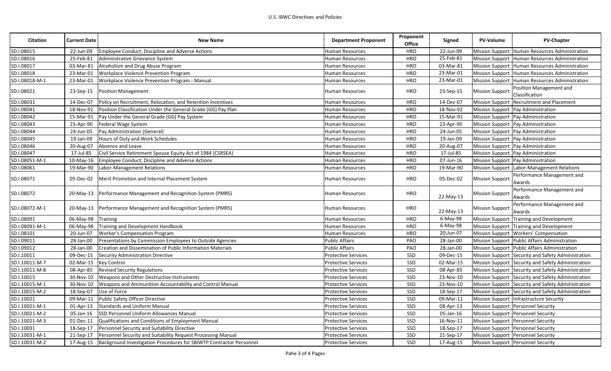| <b>Citation</b> | <b>Current Date</b> | <b>New Name</b>                                                               | <b>Department Proponent</b> | Proponent<br><b>Office</b> | Signed    | <b>PV-Volume</b>       | <b>PV-Chapter</b>                                  |
|-----------------|---------------------|-------------------------------------------------------------------------------|-----------------------------|----------------------------|-----------|------------------------|----------------------------------------------------|
| SD.I.08015      | 22-Jun-09           | Employee Conduct; Discipline and Adverse Actions                              | <b>Human Resources</b>      | <b>HRO</b>                 | 22-Jun-09 |                        | Mission Support Human Resources Administration     |
| SD.I.08016      | 25-Feb-81           | Administrative Grievance System                                               | <b>Human Resources</b>      | <b>HRO</b>                 | 25-Feb-81 |                        | Mission Support Human Resources Administration     |
| SD.I.08017      | 03-Mar-81           | Alcoholism and Drug Abuse Program                                             | Human Resources             | <b>HRO</b>                 | 03-Mar-81 |                        | Mission Support Human Resources Administration     |
| SD.I.08018      | 23-Mar-01           | Workplace Violence Prevention Program                                         | Human Resources             | <b>HRO</b>                 | 23-Mar-01 |                        | Mission Support Human Resources Administration     |
| SD.I.08018-M-1  | 23-Mar-01           | Workplace Violence Prevention Program - Manual                                | Human Resources             | HRO                        | 23-Mar-01 |                        | Mission Support Human Resources Administration     |
| SD.I.08021      | 23-Sep-15           | <b>Position Management</b>                                                    | <b>Human Resources</b>      | <b>HRO</b>                 | 23-Sep-15 | <b>Mission Support</b> | Position Management and<br>Classification          |
| SD.I.08031      | 14-Dec-07           | Policy on Recruitment, Relocation, and Retention Incentives                   | Human Resources             | <b>HRO</b>                 | 14-Dec-07 |                        | Mission Support Recruitment and Placement          |
| SD.I.08041      | 18-Nov-92           | Position Classification Under the General Grade (GG) Pay Plan                 | Human Resources             | HRO                        | 18-Nov-92 |                        | Mission Support Pay Administration                 |
| SD.I.08042      | 15-Mar-91           | Pay Under the General Grade (GG) Pay System                                   | Human Resources             | HRO                        | 15-Mar-91 |                        | Mission Support Pay Administration                 |
| SD.I.08043      | 23-Apr-90           | Federal Wage System                                                           | Human Resources             | <b>HRO</b>                 | 23-Apr-90 |                        | Mission Support Pay Administration                 |
| SD.I.08044      | 24-Jun-05           | Pay Administration (General)                                                  | <b>Human Resources</b>      | <b>HRO</b>                 | 24-Jun-05 |                        | Mission Support Pay Administration                 |
| SD.I.08045      | 19-Jan-09           | Hours of Duty and Work Schedules                                              | Human Resources             | <b>HRO</b>                 | 19-Jan-09 |                        | Mission Support Pay Administration                 |
| SD.I.08046      | 20-Aug-07           | Absence and Leave                                                             | <b>Human Resources</b>      | <b>HRO</b>                 | 20-Aug-07 |                        | Mission Support Pay Administration                 |
| SD.I.08047      | 17-Jul-85           | Civil Service Retirement Spouse Equity Act of 1984 (CSRSEA)                   | <b>Human Resources</b>      | <b>HRO</b>                 | 17-Jul-85 |                        | Mission Support Pay Administration                 |
| SD.I.08051-M-1  | 10-May-16           | Employee Conduct; Discipline and Adverse Actions                              | <b>Human Resources</b>      | <b>HRO</b>                 | 07-Jun-16 |                        | Mission Support Pay Administration                 |
| SD.I.08061      | 19-Mar-90           | Labor-Management Relations                                                    | <b>Human Resources</b>      | <b>HRO</b>                 | 19-Mar-90 |                        | Mission Support Labor-Management Relations         |
| SD.I.08071      | 05-Dec-02           | Merit Promotion and Internal Placement System                                 | Human Resources             | HRO                        | 05-Dec-02 | <b>Mission Support</b> | Performance Management and<br>Awards               |
| SD.I.08072      | 20-May-13           | Performance Management and Recognition System (PMRS)                          | Human Resources             | <b>HRO</b>                 | 22-May-13 | Mission Support        | Performance Management and<br>Awards               |
| SD.I.08072-M-1  | $20$ -May-13        | Performance Management and Recognition System (PMRS)                          | <b>Human Resources</b>      | <b>HRO</b>                 | 22-May-13 | <b>Mission Support</b> | Performance Management and<br>Awards               |
| SD.I.08091      | 06-May-98           | Training                                                                      | <b>Human Resources</b>      | <b>HRO</b>                 | 6-May-98  |                        | Mission Support Training and Development           |
| SD.I.08091-M-1  | 06-May-98           | Training and Development Handbook                                             | <b>Human Resources</b>      | <b>HRO</b>                 | 6-May-98  |                        | Mission Support Training and Development           |
| SD.I.08101      | 20-Jun-07           | <b>Worker's Compensation Program</b>                                          | <b>Human Resources</b>      | <b>HRO</b>                 | 20-Jun-07 |                        | Mission Support   Workers' Compensation            |
| SD.I.09011      | 28-Jan-00           | Presentations by Commission Employees to Outside Agencies                     | <b>Public Affairs</b>       | PAO                        | 28-Jan-00 |                        | Mission Support Public Affairs Administration      |
| SD.I.09012      | 28-Jan-00           | Creation and Dissemination of Public Information Materials                    | <b>Public Affairs</b>       | PAO                        | 28-Jan-00 |                        | Mission Support Public Affairs Administration      |
| SD.I.10011      | 09-Dec-15           | Security Administration Directive                                             | <b>Protective Services</b>  | SSD                        | 09-Dec-15 |                        | Mission Support Security and Safety Administration |
| SD.I.10011-M-7  | 02-Mar-15           | <b>Key Control</b>                                                            | <b>Protective Services</b>  | SSD                        | 02-Mar-15 |                        | Mission Support Security and Safety Administration |
| SD.I.10011-M-8  | 08-Apr-85           | <b>Revised Security Regulations</b>                                           | <b>Protective Services</b>  | SSD                        | 08-Apr-85 |                        | Mission Support Security and Safety Administration |
| SD.I.10015      | 30-Nov-10           | Weapons and Other Destructive Instruments                                     | <b>Protective Services</b>  | SSD                        | 23-Nov-10 |                        | Mission Support Security and Safety Administration |
| SD.I.10015-M-1  | 30-Nov-10           | Weapons and Ammunition Accountability and Control Manual                      | <b>Protective Services</b>  | SSD                        | 23-Nov-10 |                        | Mission Support Security and Safety Administration |
| SD.I.10015-M-2  | 18-Sep-07           | Use of Force                                                                  | <b>Protective Services</b>  | SSD                        | 18-Sep-17 |                        | Mission Support Security and Safety Administration |
| SD.I.10021      | 09-Mar-11           | Public Safety Officer Directive                                               | Protective Services         | SSD                        | 09-Mar-11 |                        | Mission Support Infrastructure Security            |
| SD.I.10021-M-1  | 01-Apr-13           | <b>Standards and Uniform Manual</b>                                           | <b>Protective Services</b>  | SSD                        | 08-Apr-13 |                        | Mission Support Personnel Security                 |
| SD.I.10021-M-2  | 05-Jan-16           | <b>SSD Personnel Uniform Allowances Manual</b>                                | <b>Protective Services</b>  | SSD                        | 05-Jan-16 |                        | Mission Support Personnel Security                 |
| SD.I.10021-M-3  | 01-Dec-11           | Qualifications and Conditions of Employment Manual                            | <b>Protective Services</b>  | SSD                        | 16-Nov-11 |                        | Mission Support Personnel Security                 |
| SD.I.10031      | 18-Sep-17           | Personnel Security and Suitability Directive                                  | <b>Protective Services</b>  | SSD                        | 18-Sep-17 |                        | Mission Support Personnel Security                 |
| SD.I.10031-M-1  | 21-Sep-17           | Personnel Security and Suitability Request Processing Manual                  | <b>Protective Services</b>  | SSD                        | 21-Sep-17 |                        | Mission Support Personnel Security                 |
| SD.I.10031-M-2  |                     | 17-Aug-15 Background Investigation Procedures for SBIWTP Contractor Personnel | <b>Protective Services</b>  | SSD                        | 17-Aug-15 |                        | Mission Support Personnel Security                 |